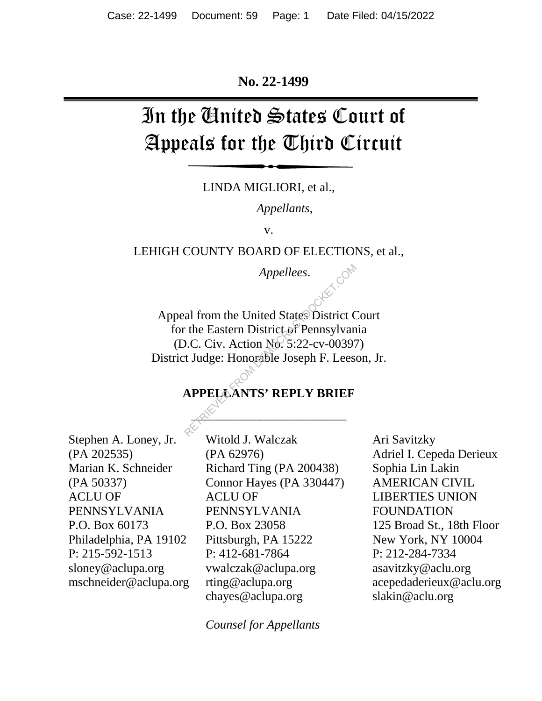#### **No. 22-1499**

# In the United States Court of Appeals for the Third Circuit

LINDA MIGLIORI, et al.,

*Appellants*,

v.

LEHIGH COUNTY BOARD OF ELECTIONS, et al.,

*Appellees*.

Appeal from the United States District Court for the Eastern District of Pennsylvania (D.C. Civ. Action No. 5:22-cv-00397) District Judge: Honorable Joseph F. Leeson, Jr. Appellees.<br>
al from the United States District C<br>
The Eastern District of Pennsylvan<br>
D.C. Civ. Action No. 5:22-cv-00397<br>
t Judge: Honorable Joseph F. Lees<br>
APPELAANTS' REPLY BRIEF

## **APPELLANTS' REPLY BRIEF**

 $\mathbb{R}^N$ 

Stephen A. Loney, Jr. (PA 202535) Marian K. Schneider (PA 50337) ACLU OF PENNSYLVANIA P.O. Box 60173 Philadelphia, PA 19102 P: 215-592-1513 sloney@aclupa.org mschneider@aclupa.org

Witold J. Walczak (PA 62976) Richard Ting (PA 200438) Connor Hayes (PA 330447) ACLU OF PENNSYLVANIA P.O. Box 23058 Pittsburgh, PA 15222 P: 412-681-7864 vwalczak@aclupa.org rting@aclupa.org chayes@aclupa.org

*Counsel for Appellants*

Ari Savitzky Adriel I. Cepeda Derieux Sophia Lin Lakin AMERICAN CIVIL LIBERTIES UNION FOUNDATION 125 Broad St., 18th Floor New York, NY 10004 P: 212-284-7334 asavitzky@aclu.org acepedaderieux@aclu.org slakin@aclu.org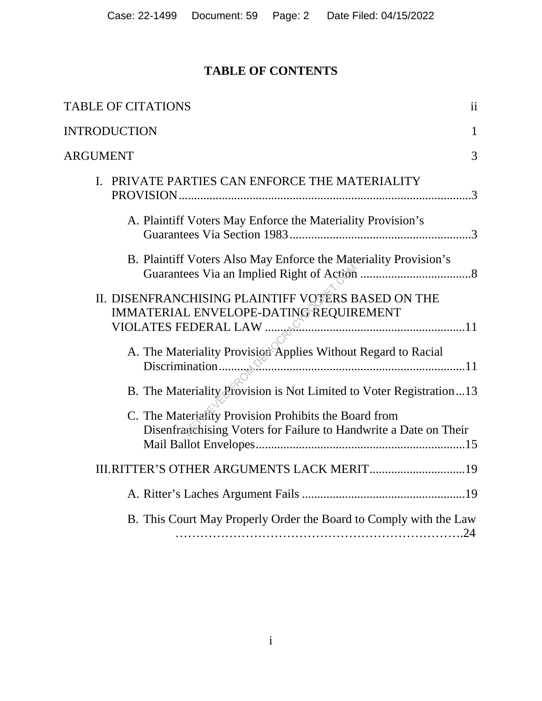# **TABLE OF CONTENTS**

| <b>TABLE OF CITATIONS</b><br>ii                                                                                                      |
|--------------------------------------------------------------------------------------------------------------------------------------|
| <b>INTRODUCTION</b><br>1                                                                                                             |
| <b>ARGUMENT</b><br>3                                                                                                                 |
| PRIVATE PARTIES CAN ENFORCE THE MATERIALITY<br>I.                                                                                    |
| A. Plaintiff Voters May Enforce the Materiality Provision's                                                                          |
| B. Plaintiff Voters Also May Enforce the Materiality Provision's                                                                     |
| II. DISENFRANCHISING PLAINTIFF VOTERS BASED ON THE<br>IMMATERIAL ENVELOPE-DATING REQUIREMENT<br>VIOLATES FEDERAL LAW $\ldots$        |
| A. The Materiality Provision Applies Without Regard to Racial<br>B. The Materiality Provision is Not Limited to Voter Registration13 |
| C. The Materiality Provision Prohibits the Board from<br>Disenfranchising Voters for Failure to Handwrite a Date on Their            |
| III.RITTER'S OTHER ARGUMENTS LACK MERIT19                                                                                            |
|                                                                                                                                      |
| B. This Court May Properly Order the Board to Comply with the Law                                                                    |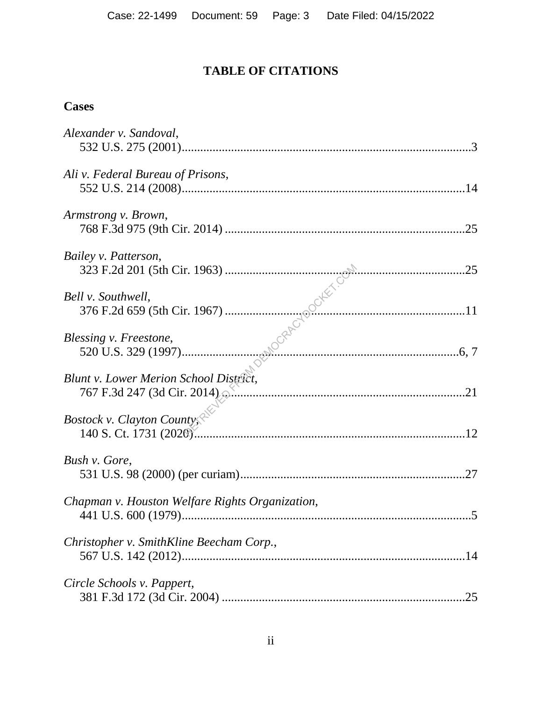# **TABLE OF CITATIONS**

## **Cases**

| Alexander v. Sandoval,                                                |     |
|-----------------------------------------------------------------------|-----|
| Ali v. Federal Bureau of Prisons,                                     |     |
| Armstrong v. Brown,                                                   |     |
| Bailey v. Patterson,                                                  |     |
| Bell v. Southwell,                                                    |     |
| Blessing v. Freestone,                                                |     |
| Blunt v. Lower Merion School District,<br>767 F.3d 247 (3d Cir. 2014) |     |
| Bostock v. Clayton Countys                                            |     |
| Bush v. Gore,                                                         | .27 |
| Chapman v. Houston Welfare Rights Organization,                       |     |
| Christopher v. SmithKline Beecham Corp.,                              | .14 |
| Circle Schools v. Pappert,                                            | .25 |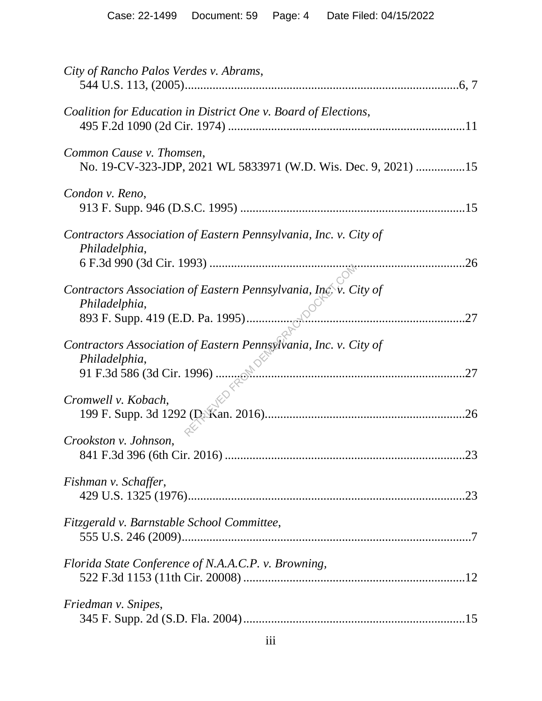| City of Rancho Palos Verdes v. Abrams,                                                     |
|--------------------------------------------------------------------------------------------|
| Coalition for Education in District One v. Board of Elections,                             |
| Common Cause v. Thomsen,<br>No. 19-CV-323-JDP, 2021 WL 5833971 (W.D. Wis. Dec. 9, 2021) 15 |
| Condon v. Reno,                                                                            |
| Contractors Association of Eastern Pennsylvania, Inc. v. City of<br>Philadelphia,<br>.26   |
| Contractors Association of Eastern Pennsylvania, Inc. v. City of<br>Philadelphia,<br>.27   |
| Contractors Association of Eastern Pennsylvania, Inc. v. City of<br>Philadelphia,<br>.27   |
| Cromwell v. Kobach,<br>.26                                                                 |
| Crookston v. Johnson,<br>.23                                                               |
| Fishman v. Schaffer,<br>.23                                                                |
| Fitzgerald v. Barnstable School Committee,                                                 |
| Florida State Conference of N.A.A.C.P. v. Browning,                                        |
| Friedman v. Snipes,                                                                        |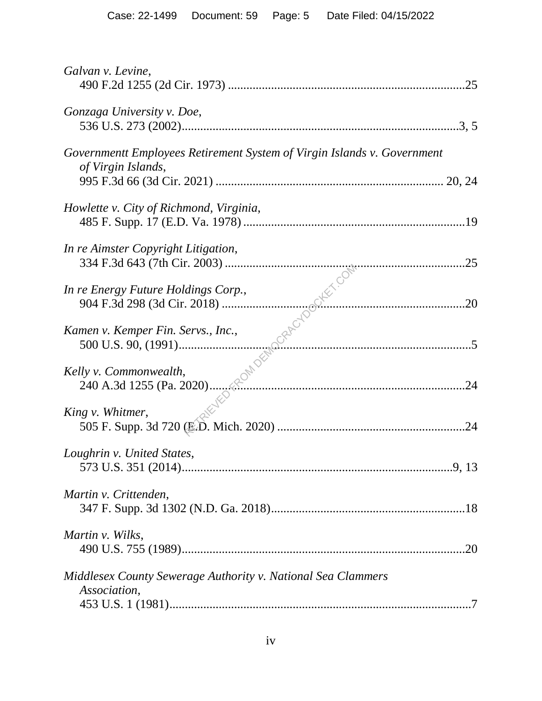| Galvan v. Levine,                                                                             |
|-----------------------------------------------------------------------------------------------|
| Gonzaga University v. Doe,                                                                    |
| Governmentt Employees Retirement System of Virgin Islands v. Government<br>of Virgin Islands, |
| Howlette v. City of Richmond, Virginia,                                                       |
| In re Aimster Copyright Litigation,                                                           |
| In re Energy Future Holdings Corp.,                                                           |
| Kamen v. Kemper Fin. Servs., Inc.,                                                            |
| Kelly v. Commonwealth,                                                                        |
| King v. Whitmer,<br>.24                                                                       |
| Loughrin v. United States,                                                                    |
| Martin v. Crittenden,                                                                         |
| Martin v. Wilks,                                                                              |
| Middlesex County Sewerage Authority v. National Sea Clammers<br>Association,                  |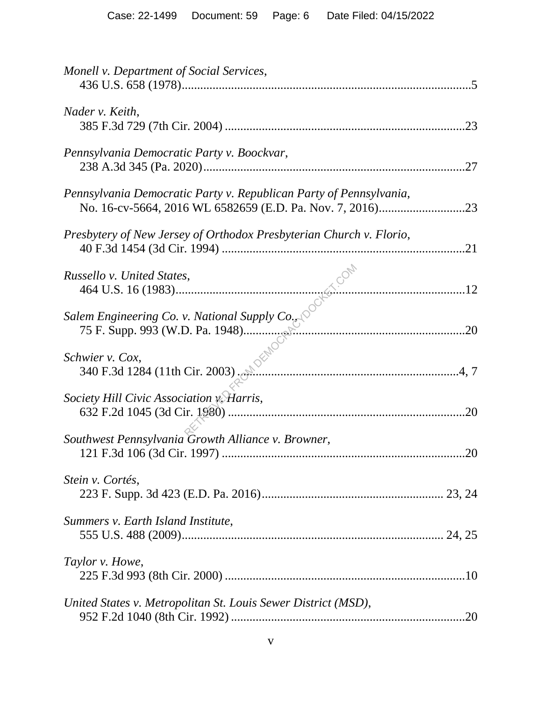| Monell v. Department of Social Services,                            |     |
|---------------------------------------------------------------------|-----|
| Nader v. Keith,                                                     | .23 |
| Pennsylvania Democratic Party v. Boockvar,                          |     |
| Pennsylvania Democratic Party v. Republican Party of Pennsylvania,  |     |
| Presbytery of New Jersey of Orthodox Presbyterian Church v. Florio, | .21 |
|                                                                     |     |
|                                                                     |     |
| hwier v. Cox,<br>340 F.3d 1284 (11th Cir. 2003).<br>Schwier v. Cox, |     |
| Society Hill Civic Association v. Harris,                           | .20 |
| Southwest Pennsylvania Growth Alliance v. Browner,                  | .20 |
| Stein v. Cortés,                                                    |     |
| Summers v. Earth Island Institute,                                  |     |
| Taylor v. Howe,                                                     |     |
| United States v. Metropolitan St. Louis Sewer District (MSD),       | .20 |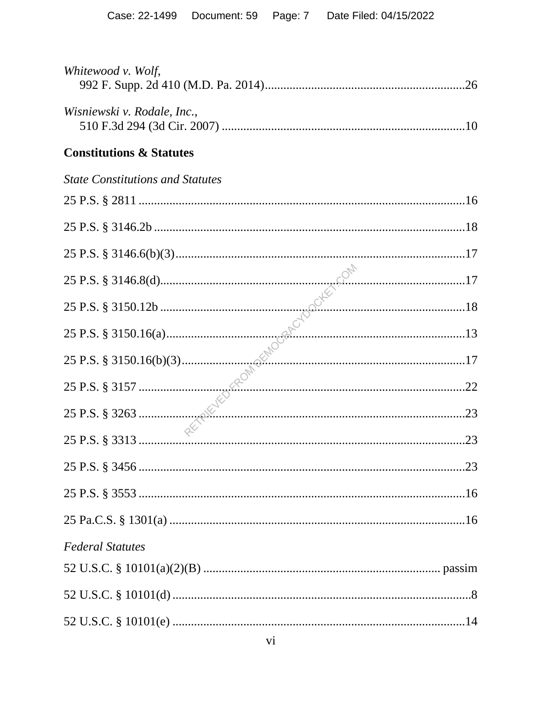| Whitewood v. Wolf,                      |  |
|-----------------------------------------|--|
| Wisniewski v. Rodale, Inc.,             |  |
| <b>Constitutions &amp; Statutes</b>     |  |
| <b>State Constitutions and Statutes</b> |  |
|                                         |  |
|                                         |  |
|                                         |  |
|                                         |  |
|                                         |  |
|                                         |  |
|                                         |  |
|                                         |  |
|                                         |  |
|                                         |  |
|                                         |  |
|                                         |  |
|                                         |  |
| <b>Federal Statutes</b>                 |  |
|                                         |  |
|                                         |  |
|                                         |  |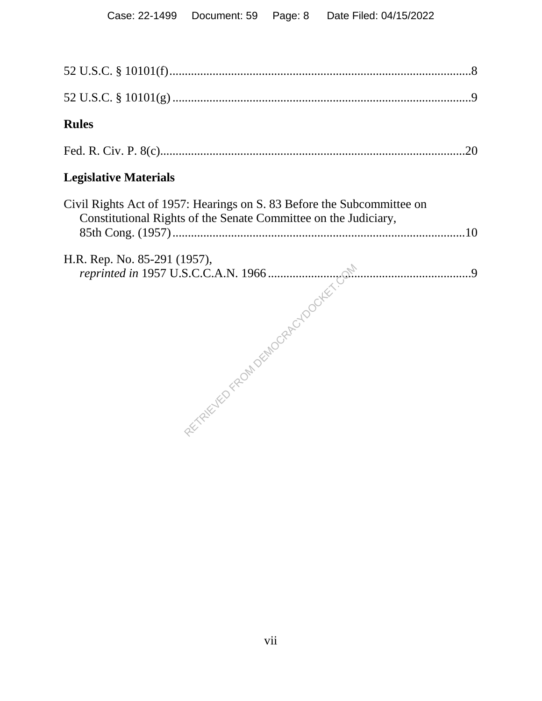| <b>Rules</b>                                                                                                                              |  |
|-------------------------------------------------------------------------------------------------------------------------------------------|--|
|                                                                                                                                           |  |
| <b>Legislative Materials</b>                                                                                                              |  |
| Civil Rights Act of 1957: Hearings on S. 83 Before the Subcommittee on<br>Constitutional Rights of the Senate Committee on the Judiciary, |  |
| H.R. Rep. No. 85-291 (1957),                                                                                                              |  |
|                                                                                                                                           |  |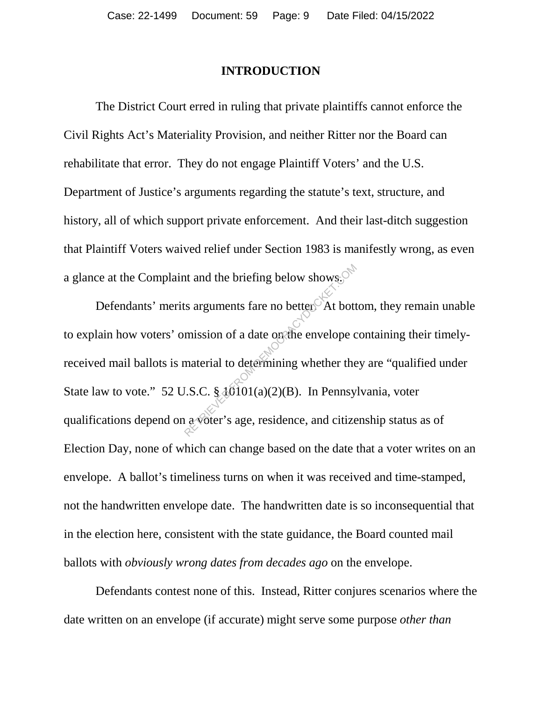#### **INTRODUCTION**

The District Court erred in ruling that private plaintiffs cannot enforce the Civil Rights Act's Materiality Provision, and neither Ritter nor the Board can rehabilitate that error. They do not engage Plaintiff Voters' and the U.S. Department of Justice's arguments regarding the statute's text, structure, and history, all of which support private enforcement. And their last-ditch suggestion that Plaintiff Voters waived relief under Section 1983 is manifestly wrong, as even a glance at the Complaint and the briefing below shows.

Defendants' merits arguments fare no better. At bottom, they remain unable to explain how voters' omission of a date on the envelope containing their timelyreceived mail ballots is material to determining whether they are "qualified under State law to vote." 52 U.S.C.  $\frac{10101(a)(2)(B)}{B}$ . In Pennsylvania, voter qualifications depend on a voter's age, residence, and citizenship status as of Election Day, none of which can change based on the date that a voter writes on an envelope. A ballot's timeliness turns on when it was received and time-stamped, not the handwritten envelope date. The handwritten date is so inconsequential that in the election here, consistent with the state guidance, the Board counted mail ballots with *obviously wrong dates from decades ago* on the envelope. It and the briefing below shows.<sup>6</sup><br>
It are associated in the mission of a date on the envelope contract material to determining whether the<br>
I.S.C. § 40101(a)(2)(B). In Pennsy

Defendants contest none of this. Instead, Ritter conjures scenarios where the date written on an envelope (if accurate) might serve some purpose *other than*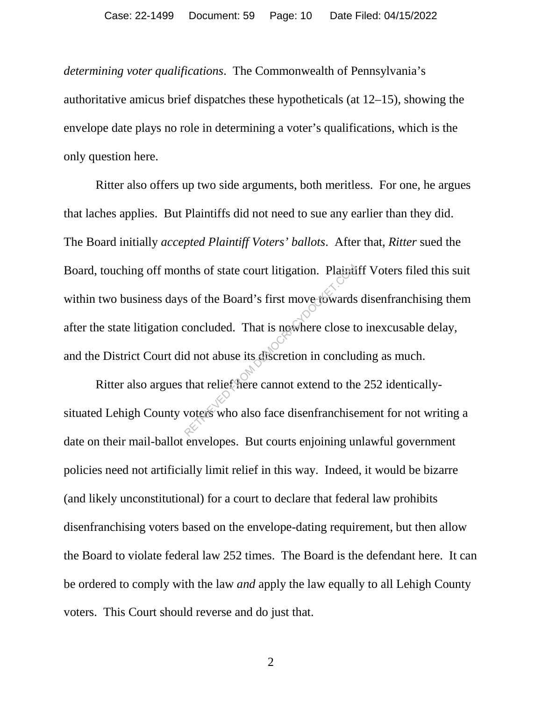*determining voter qualifications*. The Commonwealth of Pennsylvania's authoritative amicus brief dispatches these hypotheticals (at 12–15), showing the envelope date plays no role in determining a voter's qualifications, which is the only question here.

Ritter also offers up two side arguments, both meritless. For one, he argues that laches applies. But Plaintiffs did not need to sue any earlier than they did. The Board initially *accepted Plaintiff Voters' ballots*. After that, *Ritter* sued the Board, touching off months of state court litigation. Plaintiff Voters filed this suit within two business days of the Board's first move towards disenfranchising them after the state litigation concluded. That is nowhere close to inexcusable delay, and the District Court did not abuse its discretion in concluding as much. The Solution of State court litigation. Plainting<br>Solution of the Board's first move-towards<br>concluded. That is nowhere close to<br>d not abuse its discretion in conclu-<br>that relief frere cannot extend to the<br>voters who also

Ritter also argues that relief here cannot extend to the 252 identicallysituated Lehigh County voters who also face disenfranchisement for not writing a date on their mail-ballot envelopes. But courts enjoining unlawful government policies need not artificially limit relief in this way. Indeed, it would be bizarre (and likely unconstitutional) for a court to declare that federal law prohibits disenfranchising voters based on the envelope-dating requirement, but then allow the Board to violate federal law 252 times. The Board is the defendant here. It can be ordered to comply with the law *and* apply the law equally to all Lehigh County voters. This Court should reverse and do just that.

2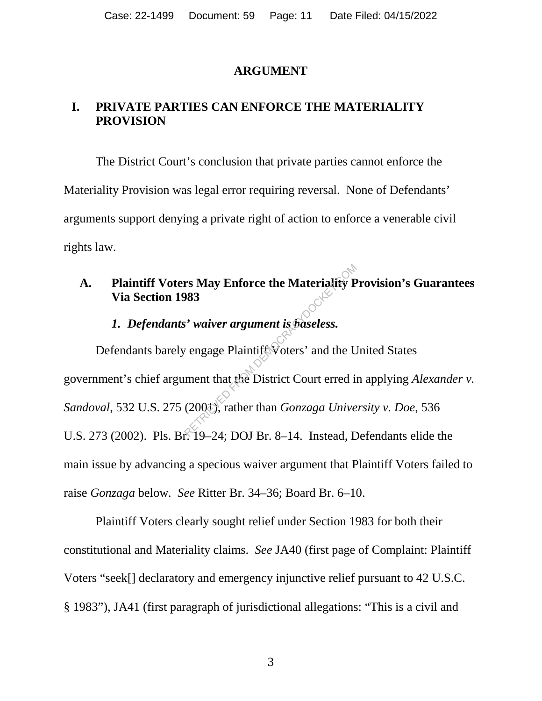#### **ARGUMENT**

#### **I. PRIVATE PARTIES CAN ENFORCE THE MATERIALITY PROVISION**

The District Court's conclusion that private parties cannot enforce the Materiality Provision was legal error requiring reversal. None of Defendants' arguments support denying a private right of action to enforce a venerable civil rights law.

## **A. Plaintiff Voters May Enforce the Materiality Provision's Guarantees Via Section 1983**

#### *1. Defendants' waiver argument is baseless.*

Defendants barely engage Plaintiff Voters' and the United States government's chief argument that the District Court erred in applying *Alexander v. Sandoval*, 532 U.S. 275 (2001), rather than *Gonzaga University v. Doe*, 536 U.S. 273 (2002). Pls. Br. 19–24; DOJ Br. 8–14. Instead, Defendants elide the main issue by advancing a specious waiver argument that Plaintiff Voters failed to raise *Gonzaga* below*. See* Ritter Br. 34–36; Board Br. 6–10. rs May Enforce the Materiality P<br>
1983<br>
Solution of May May Western Considers and the U<br>
Represented in that the District Court erred in<br>
(2004), rather than *Gonzaga Unive*<br>
(2004), rather than *Gonzaga Unive* 

Plaintiff Voters clearly sought relief under Section 1983 for both their constitutional and Materiality claims. *See* JA40 (first page of Complaint: Plaintiff Voters "seek[] declaratory and emergency injunctive relief pursuant to 42 U.S.C. § 1983"), JA41 (first paragraph of jurisdictional allegations: "This is a civil and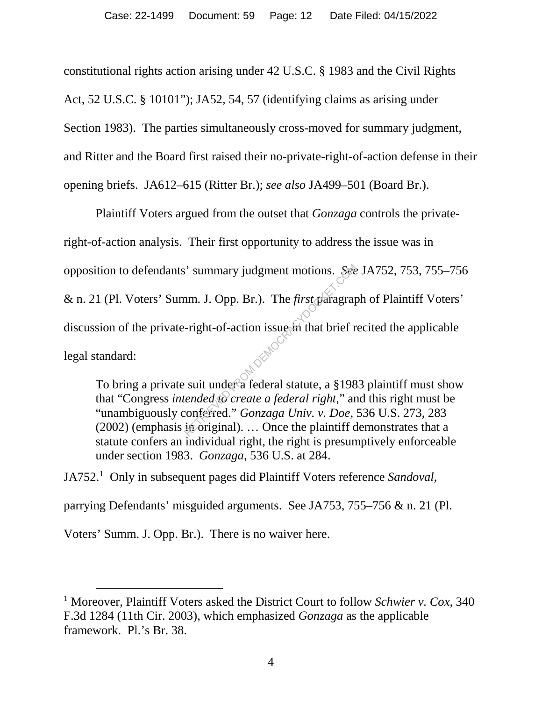constitutional rights action arising under 42 U.S.C. § 1983 and the Civil Rights Act, 52 U.S.C. § 10101"); JA52, 54, 57 (identifying claims as arising under Section 1983). The parties simultaneously cross-moved for summary judgment, and Ritter and the Board first raised their no-private-right-of-action defense in their opening briefs. JA612–615 (Ritter Br.); *see also* JA499–501 (Board Br.).

Plaintiff Voters argued from the outset that *Gonzaga* controls the privateright-of-action analysis. Their first opportunity to address the issue was in opposition to defendants' summary judgment motions. *See* JA752, 753, 755–756 & n. 21 (Pl. Voters' Summ. J. Opp. Br.). The *first* paragraph of Plaintiff Voters' discussion of the private-right-of-action issue in that brief recited the applicable legal standard: Summary judgment motions. See<br>
1998. In J. Opp. Br.). The *first dearagrar*<br>
1998. Fight-of-action issue in that brief r<br>
1998. Suit under a federal statute, a §198<br>
1998. Fighter a federal right," and the content of the p

To bring a private suit under a federal statute, a §1983 plaintiff must show that "Congress *intended to create a federal right*," and this right must be "unambiguously conferred." *Gonzaga Univ. v. Doe*, 536 U.S. 273, 283  $(2002)$  (emphasis in original). ... Once the plaintiff demonstrates that a statute confers an individual right, the right is presumptively enforceable under section 1983. *Gonzaga*, 536 U.S. at 284.

JA752.1 Only in subsequent pages did Plaintiff Voters reference *Sandoval*,

parrying Defendants' misguided arguments. See JA753, 755–756 & n. 21 (Pl.

Voters' Summ. J. Opp. Br.). There is no waiver here.

 <sup>1</sup> Moreover, Plaintiff Voters asked the District Court to follow *Schwier v. Cox*, 340 F.3d 1284 (11th Cir. 2003), which emphasized *Gonzaga* as the applicable framework. Pl.'s Br. 38.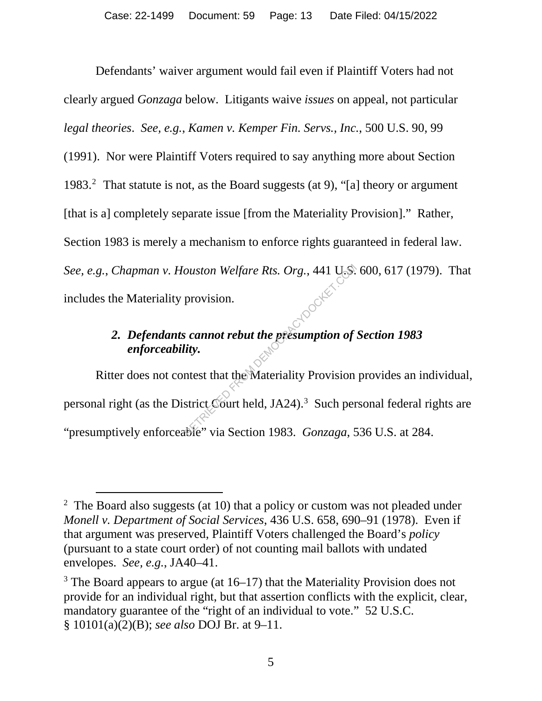Defendants' waiver argument would fail even if Plaintiff Voters had not clearly argued *Gonzaga* below. Litigants waive *issues* on appeal, not particular *legal theories*. *See, e.g.*, *Kamen v. Kemper Fin. Servs., Inc.*, 500 U.S. 90, 99

(1991). Nor were Plaintiff Voters required to say anything more about Section 1983.2 That statute is not, as the Board suggests (at 9), "[a] theory or argument [that is a] completely separate issue [from the Materiality Provision]." Rather, Section 1983 is merely a mechanism to enforce rights guaranteed in federal law. *See, e.g.*, *Chapman v. Houston Welfare Rts. Org.*, 441 U.S. 600, 617 (1979). That includes the Materiality provision.

## *2. Defendants cannot rebut the presumption of Section 1983 enforceability.*

Ritter does not contest that the Materiality Provision provides an individual, personal right (as the District Court held, JA24).<sup>3</sup> Such personal federal rights are "presumptively enforceable" via Section 1983. *Gonzaga*, 536 U.S. at 284. ouston Welfare Rts. Org., 441 U.S.<br>provision.<br>cannot rebut the presumption of<br>ity.<br>ntest that the Materiality Provision<br>strict Court held, JA24).<sup>3</sup> Such per<br>the via Section 1983. *Gonzaga*, 5

<sup>&</sup>lt;sup>2</sup> The Board also suggests (at 10) that a policy or custom was not pleaded under *Monell v. Department of Social Services*, 436 U.S. 658, 690–91 (1978). Even if that argument was preserved, Plaintiff Voters challenged the Board's *policy*  (pursuant to a state court order) of not counting mail ballots with undated envelopes. *See, e.g.*, JA40–41.

 $3$  The Board appears to argue (at  $16-17$ ) that the Materiality Provision does not provide for an individual right, but that assertion conflicts with the explicit, clear, mandatory guarantee of the "right of an individual to vote." 52 U.S.C. § 10101(a)(2)(B); *see also* DOJ Br. at 9–11.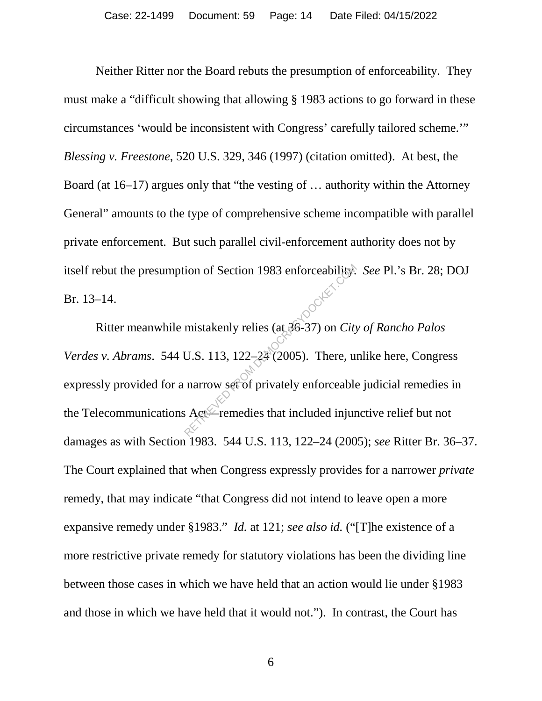Neither Ritter nor the Board rebuts the presumption of enforceability. They must make a "difficult showing that allowing § 1983 actions to go forward in these circumstances 'would be inconsistent with Congress' carefully tailored scheme.'" *Blessing v. Freestone*, 520 U.S. 329, 346 (1997) (citation omitted). At best, the Board (at 16–17) argues only that "the vesting of … authority within the Attorney General" amounts to the type of comprehensive scheme incompatible with parallel private enforcement. But such parallel civil-enforcement authority does not by itself rebut the presumption of Section 1983 enforceability. *See* Pl.'s Br. 28; DOJ Br. 13–14.

Ritter meanwhile mistakenly relies (at 36-37) on *City of Rancho Palos Verdes v. Abrams*. 544 U.S. 113, 122–24 (2005). There, unlike here, Congress expressly provided for a narrow set of privately enforceable judicial remedies in the Telecommunications Act<sup>-</sup>remedies that included injunctive relief but not damages as with Section 1983. 544 U.S. 113, 122–24 (2005); *see* Ritter Br. 36–37. The Court explained that when Congress expressly provides for a narrower *private* remedy, that may indicate "that Congress did not intend to leave open a more expansive remedy under §1983." *Id.* at 121; *see also id.* ("[T]he existence of a more restrictive private remedy for statutory violations has been the dividing line between those cases in which we have held that an action would lie under §1983 and those in which we have held that it would not."). In contrast, the Court has From 1983 enforceability.<br>
mistakenly relies (at 36-37) on *City*<br>
U.S. 113, 122–24 (2005). There, un<br>
narrow set of privately enforceable<br>  $A$  Act Fremedies that included injure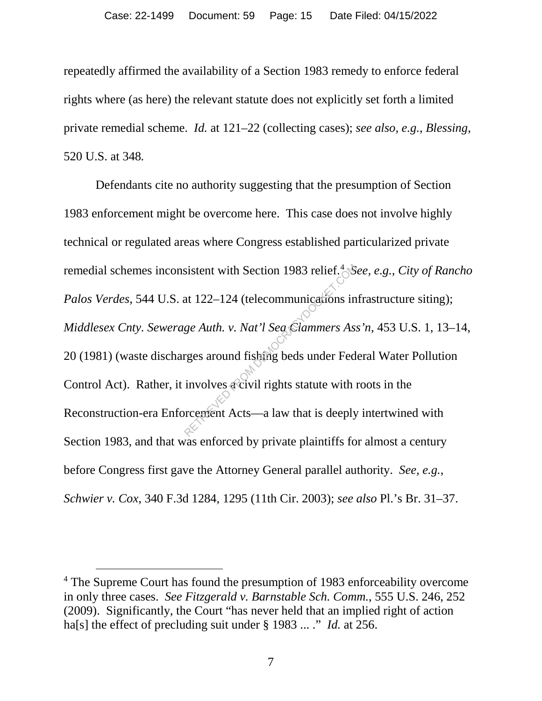repeatedly affirmed the availability of a Section 1983 remedy to enforce federal rights where (as here) the relevant statute does not explicitly set forth a limited private remedial scheme. *Id.* at 121–22 (collecting cases); *see also, e.g.*, *Blessing*, 520 U.S. at 348*.*

Defendants cite no authority suggesting that the presumption of Section 1983 enforcement might be overcome here. This case does not involve highly technical or regulated areas where Congress established particularized private remedial schemes inconsistent with Section 1983 relief. 4 *See, e.g.*, *City of Rancho Palos Verdes*, 544 U.S. at 122–124 (telecommunications infrastructure siting); *Middlesex Cnty. Sewerage Auth. v. Nat'l Sea Clammers Ass'n*, 453 U.S. 1, 13–14, 20 (1981) (waste discharges around fishing beds under Federal Water Pollution Control Act). Rather, it involves a civil rights statute with roots in the Reconstruction-era Enforcement Acts—a law that is deeply intertwined with Section 1983, and that was enforced by private plaintiffs for almost a century before Congress first gave the Attorney General parallel authority. *See, e.g.*, *Schwier v. Cox*, 340 F.3d 1284, 1295 (11th Cir. 2003); *see also* Pl.'s Br. 31–37. sistent with Section 1983 relief.<sup>4</sup><br>Stat 122–124 (telecommunications in<br>*ge Auth. v. Nat'l Sea Glammers As.*<br>rges around fisking beds under Fed<br>involves a civil rights statute with a<br>recement Acts—a law that is deeply

 <sup>4</sup> The Supreme Court has found the presumption of 1983 enforceability overcome in only three cases. *See Fitzgerald v. Barnstable Sch. Comm.*, 555 U.S. 246, 252 (2009). Significantly, the Court "has never held that an implied right of action ha[s] the effect of precluding suit under § 1983 ... ." *Id.* at 256.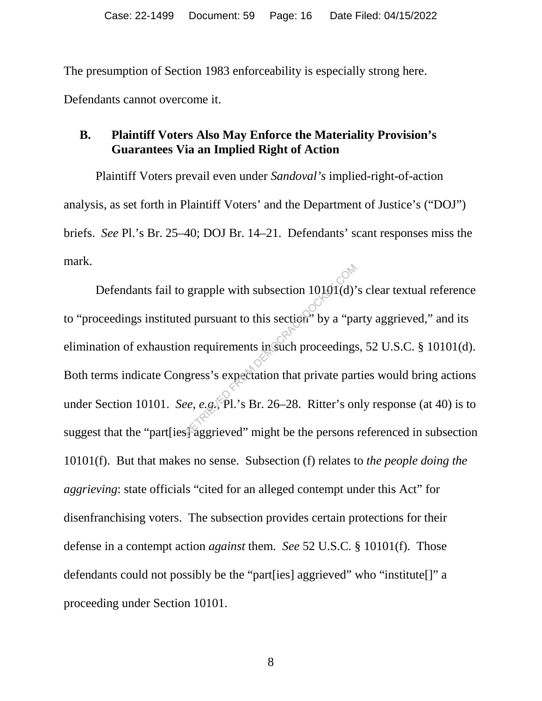The presumption of Section 1983 enforceability is especially strong here.

Defendants cannot overcome it.

#### **B. Plaintiff Voters Also May Enforce the Materiality Provision's Guarantees Via an Implied Right of Action**

Plaintiff Voters prevail even under *Sandoval's* implied-right-of-action analysis, as set forth in Plaintiff Voters' and the Department of Justice's ("DOJ") briefs. *See* Pl.'s Br. 25–40; DOJ Br. 14–21. Defendants' scant responses miss the mark.

Defendants fail to grapple with subsection 10101(d)'s clear textual reference to "proceedings instituted pursuant to this section" by a "party aggrieved," and its elimination of exhaustion requirements in such proceedings, 52 U.S.C. § 10101(d). Both terms indicate Congress's expectation that private parties would bring actions under Section 10101. *See, e.g.*, Pl.'s Br. 26–28. Ritter's only response (at 40) is to suggest that the "part lies" aggrieved" might be the persons referenced in subsection 10101(f). But that makes no sense. Subsection (f) relates to *the people doing the aggrieving*: state officials "cited for an alleged contempt under this Act" for disenfranchising voters. The subsection provides certain protections for their defense in a contempt action *against* them. *See* 52 U.S.C. § 10101(f). Those defendants could not possibly be the "part[ies] aggrieved" who "institute[]" a proceeding under Section 10101. grapple with subsection  $10101(d)$ <br>d pursuant to this section<sup>9</sup> by a "pa<br>n requirements in such proceedings<br>gress's expectation that private par<br>*ee, e.g.* Pl.'s Br. 26–28. Ritter's or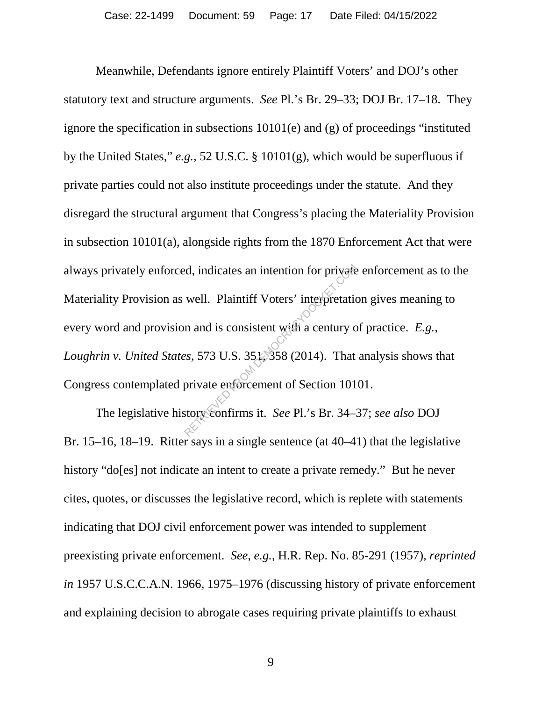Meanwhile, Defendants ignore entirely Plaintiff Voters' and DOJ's other statutory text and structure arguments. *See* Pl.'s Br. 29–33; DOJ Br. 17–18. They ignore the specification in subsections 10101(e) and (g) of proceedings "instituted by the United States," *e.g.*, 52 U.S.C. § 10101(g), which would be superfluous if private parties could not also institute proceedings under the statute. And they disregard the structural argument that Congress's placing the Materiality Provision in subsection 10101(a), alongside rights from the 1870 Enforcement Act that were always privately enforced, indicates an intention for private enforcement as to the Materiality Provision as well. Plaintiff Voters' interpretation gives meaning to every word and provision and is consistent with a century of practice. *E.g.*, *Loughrin v. United States*, 573 U.S. 351, 358 (2014). That analysis shows that Congress contemplated private enforcement of Section 10101. red, indicates an intention for private<br>well. Plaintiff Voters' interpretation<br>in and is consistent with a century compared as a set of the set of Section 101<br>private enforcement of Section 101<br>story confirms it. *See* Pl.

The legislative history confirms it. *See* Pl.'s Br. 34–37; *see also* DOJ Br. 15–16, 18–19. Ritter says in a single sentence (at 40–41) that the legislative history "do[es] not indicate an intent to create a private remedy." But he never cites, quotes, or discusses the legislative record, which is replete with statements indicating that DOJ civil enforcement power was intended to supplement preexisting private enforcement. *See, e.g.*, H.R. Rep. No. 85-291 (1957), *reprinted in* 1957 U.S.C.C.A.N. 1966, 1975–1976 (discussing history of private enforcement and explaining decision to abrogate cases requiring private plaintiffs to exhaust

9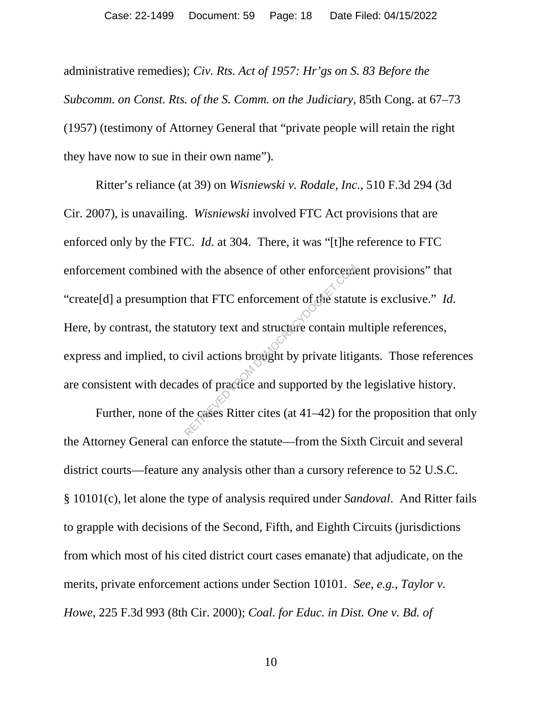administrative remedies); *Civ. Rts. Act of 1957: Hr'gs on S. 83 Before the Subcomm. on Const. Rts. of the S. Comm. on the Judiciary*, 85th Cong. at 67–73 (1957) (testimony of Attorney General that "private people will retain the right they have now to sue in their own name")*.* 

Ritter's reliance (at 39) on *Wisniewski v. Rodale, Inc.*, 510 F.3d 294 (3d Cir. 2007), is unavailing. *Wisniewski* involved FTC Act provisions that are enforced only by the FTC. *Id.* at 304. There, it was "[t]he reference to FTC enforcement combined with the absence of other enforcement provisions" that "create[d] a presumption that FTC enforcement of the statute is exclusive." *Id.* Here, by contrast, the statutory text and structure contain multiple references, express and implied, to civil actions brought by private litigants. Those references are consistent with decades of practice and supported by the legislative history. with the absence of other enforcement<br>
I that FTC enforcement of the statu<br>
atutory text and structure contain m<br>
civil actions brought by private litig<br>
des of practice and supported by the<br>
he cases Ritter cites (at 41–4

Further, none of the cases Ritter cites (at 41–42) for the proposition that only the Attorney General can enforce the statute—from the Sixth Circuit and several district courts—feature any analysis other than a cursory reference to 52 U.S.C. § 10101(c), let alone the type of analysis required under *Sandoval*. And Ritter fails to grapple with decisions of the Second, Fifth, and Eighth Circuits (jurisdictions from which most of his cited district court cases emanate) that adjudicate, on the merits, private enforcement actions under Section 10101. *See, e.g.*, *Taylor v. Howe*, 225 F.3d 993 (8th Cir. 2000); *Coal. for Educ. in Dist. One v. Bd. of* 

10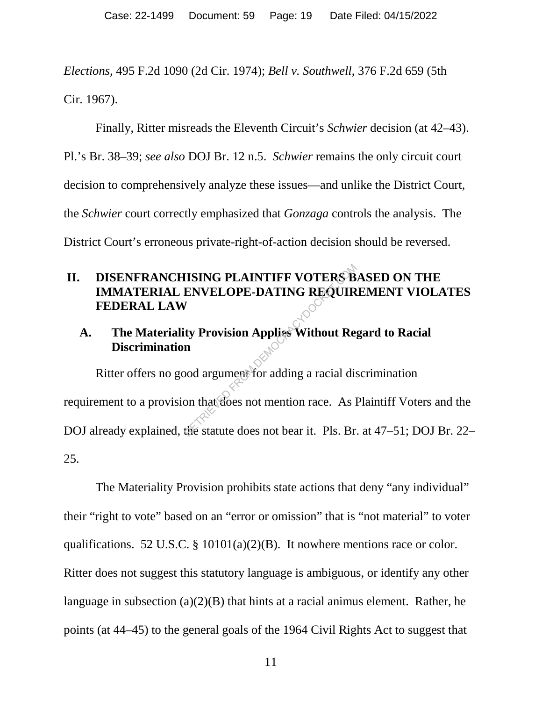*Elections*, 495 F.2d 1090 (2d Cir. 1974); *Bell v. Southwell*, 376 F.2d 659 (5th Cir. 1967).

Finally, Ritter misreads the Eleventh Circuit's *Schwier* decision (at 42–43). Pl.'s Br. 38–39; *see also* DOJ Br. 12 n.5. *Schwier* remains the only circuit court decision to comprehensively analyze these issues—and unlike the District Court, the *Schwier* court correctly emphasized that *Gonzaga* controls the analysis. The District Court's erroneous private-right-of-action decision should be reversed.

## **II. DISENFRANCHISING PLAINTIFF VOTERS BASED ON THE IMMATERIAL ENVELOPE-DATING REQUIREMENT VIOLATES FEDERAL LAW**

#### **A. The Materiality Provision Applies Without Regard to Racial Discrimination**

Ritter offers no good argument for adding a racial discrimination requirement to a provision that does not mention race. As Plaintiff Voters and the DOJ already explained, the statute does not bear it. Pls. Br. at 47–51; DOJ Br. 22– 25. IISING PLAINTIFF VOTERS B<br>ENVELOPE-DATING REQUIR<br>
The Provision Applies Without Res<br>
n<br>
bod argument for adding a racial dis<br>
on that does not mention race. As l<br>
the statute does not bear it. Pls. Br

The Materiality Provision prohibits state actions that deny "any individual" their "right to vote" based on an "error or omission" that is "not material" to voter qualifications. 52 U.S.C. § 10101(a)(2)(B). It nowhere mentions race or color. Ritter does not suggest this statutory language is ambiguous, or identify any other language in subsection (a)(2)(B) that hints at a racial animus element. Rather, he points (at 44–45) to the general goals of the 1964 Civil Rights Act to suggest that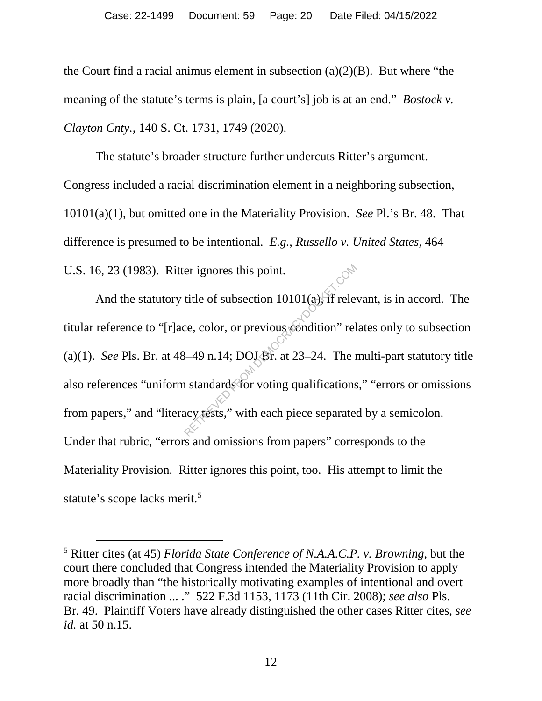the Court find a racial animus element in subsection  $(a)(2)(B)$ . But where "the meaning of the statute's terms is plain, [a court's] job is at an end." *Bostock v. Clayton Cnty.*, 140 S. Ct. 1731, 1749 (2020).

The statute's broader structure further undercuts Ritter's argument. Congress included a racial discrimination element in a neighboring subsection, 10101(a)(1), but omitted one in the Materiality Provision. *See* Pl.'s Br. 48. That difference is presumed to be intentional. *E.g.*, *Russello v. United States*, 464 U.S. 16, 23 (1983). Ritter ignores this point.

And the statutory title of subsection  $10101(a)$ , if relevant, is in accord. The titular reference to "[r]ace, color, or previous condition" relates only to subsection (a)(1). *See* Pls. Br. at  $48-49$  n.14; DOJ Br. at  $23-24$ . The multi-part statutory title also references "uniform standards for voting qualifications," "errors or omissions from papers," and "literacy tests," with each piece separated by a semicolon. Under that rubric, "errors and omissions from papers" corresponds to the Materiality Provision. Ritter ignores this point, too. His attempt to limit the statute's scope lacks merit.<sup>5</sup> er ignores this point.<br>title of subsection 10101(a), if rele<br>ce, color, or previous condition" rel<br>3-49 n.14; DOJ Br. at 23-24. The n<br>astandards for voting qualifications<br>acy tests," with each piece separate

 <sup>5</sup> Ritter cites (at 45) *Florida State Conference of N.A.A.C.P. v. Browning*, but the court there concluded that Congress intended the Materiality Provision to apply more broadly than "the historically motivating examples of intentional and overt racial discrimination ... ." 522 F.3d 1153, 1173 (11th Cir. 2008); *see also* Pls. Br. 49. Plaintiff Voters have already distinguished the other cases Ritter cites, *see id.* at 50 n.15.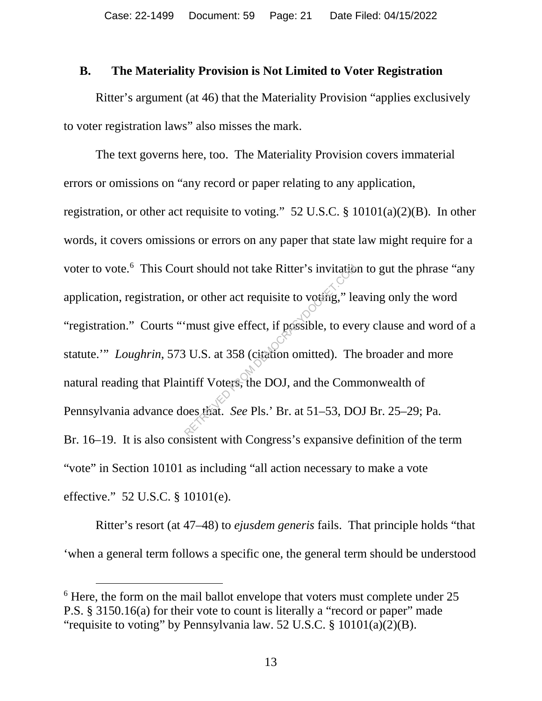#### **B. The Materiality Provision is Not Limited to Voter Registration**

Ritter's argument (at 46) that the Materiality Provision "applies exclusively to voter registration laws" also misses the mark.

The text governs here, too. The Materiality Provision covers immaterial errors or omissions on "any record or paper relating to any application, registration, or other act requisite to voting." 52 U.S.C. § 10101(a)(2)(B). In other words, it covers omissions or errors on any paper that state law might require for a voter to vote.<sup>6</sup> This Court should not take Ritter's invitation to gut the phrase "any application, registration, or other act requisite to voting," leaving only the word "registration." Courts "'must give effect, if possible, to every clause and word of a statute.'" *Loughrin*, 573 U.S. at 358 (citation omitted). The broader and more natural reading that Plaintiff Voters, the DOJ, and the Commonwealth of Pennsylvania advance does that. *See* Pls.' Br. at 51–53, DOJ Br. 25–29; Pa. Br. 16–19. It is also consistent with Congress's expansive definition of the term "vote" in Section 10101 as including "all action necessary to make a vote effective." 52 U.S.C. § 10101(e). Intertative Ritter's invitation<br>or other act requisite to voting," let<br>imust give effect, if possible, to ever<br>intertative effect, if possible, to ever<br>it U.S. at 358 (citation omitted). The<br>numeron of the Composition See

Ritter's resort (at 47–48) to *ejusdem generis* fails. That principle holds "that 'when a general term follows a specific one, the general term should be understood

<sup>&</sup>lt;sup>6</sup> Here, the form on the mail ballot envelope that voters must complete under 25 P.S. § 3150.16(a) for their vote to count is literally a "record or paper" made "requisite to voting" by Pennsylvania law. 52 U.S.C. § 10101(a)(2)(B).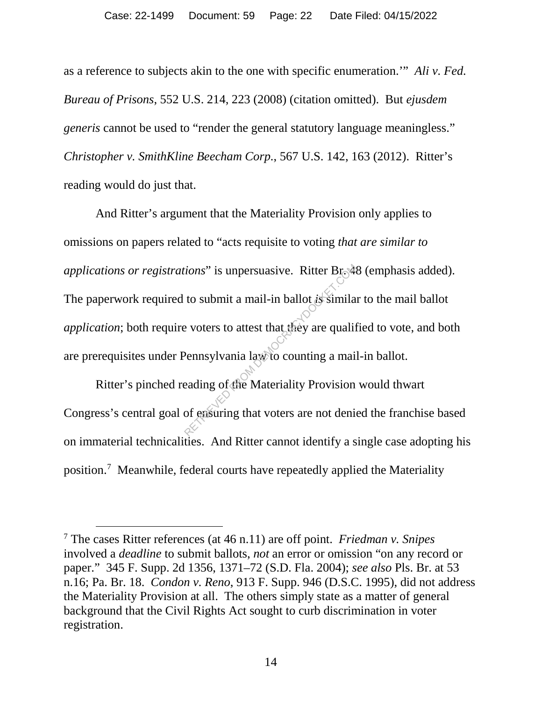as a reference to subjects akin to the one with specific enumeration.'" *Ali v. Fed. Bureau of Prisons*, 552 U.S. 214, 223 (2008) (citation omitted). But *ejusdem generis* cannot be used to "render the general statutory language meaningless." *Christopher v. SmithKline Beecham Corp.*, 567 U.S. 142, 163 (2012). Ritter's reading would do just that.

And Ritter's argument that the Materiality Provision only applies to omissions on papers related to "acts requisite to voting *that are similar to applications or registrations*" is unpersuasive. Ritter Br. 48 (emphasis added). The paperwork required to submit a mail-in ballot *is* similar to the mail ballot *application*; both require voters to attest that they are qualified to vote, and both are prerequisites under Pennsylvania law to counting a mail-in ballot. From S<sup>2</sup> is unpersuasive. Ritter Br<sub>o</sub>ck<br>to submit a mail-in ballot is similar<br>exporters to attest that they are qualif<br>Pennsylvania law to counting a mail<br>eading of the Materiality Provision<br>of ensuring that voters are n

Ritter's pinched reading of the Materiality Provision would thwart Congress's central goal of ensuring that voters are not denied the franchise based on immaterial technicalities. And Ritter cannot identify a single case adopting his position. 7 Meanwhile, federal courts have repeatedly applied the Materiality

 <sup>7</sup> The cases Ritter references (at 46 n.11) are off point. *Friedman v. Snipes* involved a *deadline* to submit ballots, *not* an error or omission "on any record or paper." 345 F. Supp. 2d 1356, 1371–72 (S.D. Fla. 2004); *see also* Pls. Br. at 53 n.16; Pa. Br. 18. *Condon v. Reno*, 913 F. Supp. 946 (D.S.C. 1995), did not address the Materiality Provision at all. The others simply state as a matter of general background that the Civil Rights Act sought to curb discrimination in voter registration.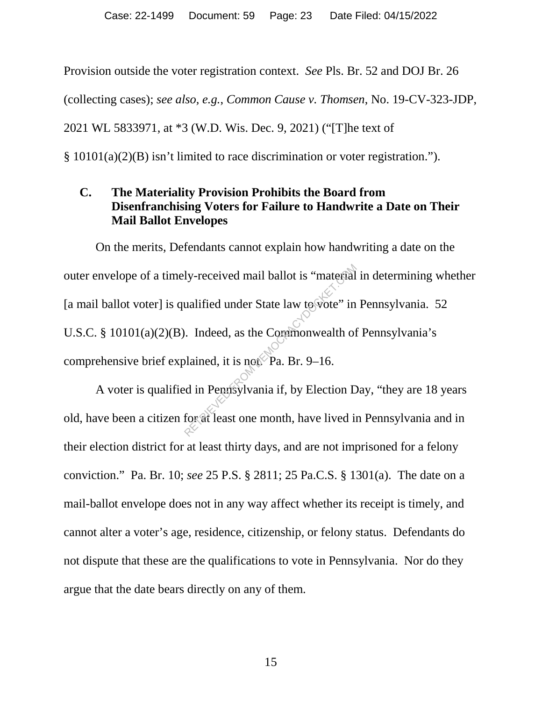Provision outside the voter registration context. *See* Pls. Br. 52 and DOJ Br. 26 (collecting cases); *see also, e.g.*, *Common Cause v. Thomsen*, No. 19-CV-323-JDP, 2021 WL 5833971, at \*3 (W.D. Wis. Dec. 9, 2021) ("[T]he text of § 10101(a)(2)(B) isn't limited to race discrimination or voter registration.").

#### **C. The Materiality Provision Prohibits the Board from Disenfranchising Voters for Failure to Handwrite a Date on Their Mail Ballot Envelopes**

On the merits, Defendants cannot explain how handwriting a date on the outer envelope of a timely-received mail ballot is "material in determining whether [a mail ballot voter] is qualified under State law to vote" in Pennsylvania. 52 U.S.C. § 10101(a)(2)(B). Indeed, as the Commonwealth of Pennsylvania's comprehensive brief explained, it is not. Pa. Br. 9–16. ly-received mail ballot is "material"<br>
ualified under State law to vote" in<br>
. Indeed, as the Commonwealth of<br>
plained, it is not Pa. Br. 9–16.<br>
d in Pennsylvania if, by Election D<br>
for at least one month, have lived in

A voter is qualified in Pennsylvania if, by Election Day, "they are 18 years old, have been a citizen for at least one month, have lived in Pennsylvania and in their election district for at least thirty days, and are not imprisoned for a felony conviction." Pa. Br. 10; *see* 25 P.S. § 2811; 25 Pa.C.S. § 1301(a). The date on a mail-ballot envelope does not in any way affect whether its receipt is timely, and cannot alter a voter's age, residence, citizenship, or felony status. Defendants do not dispute that these are the qualifications to vote in Pennsylvania. Nor do they argue that the date bears directly on any of them.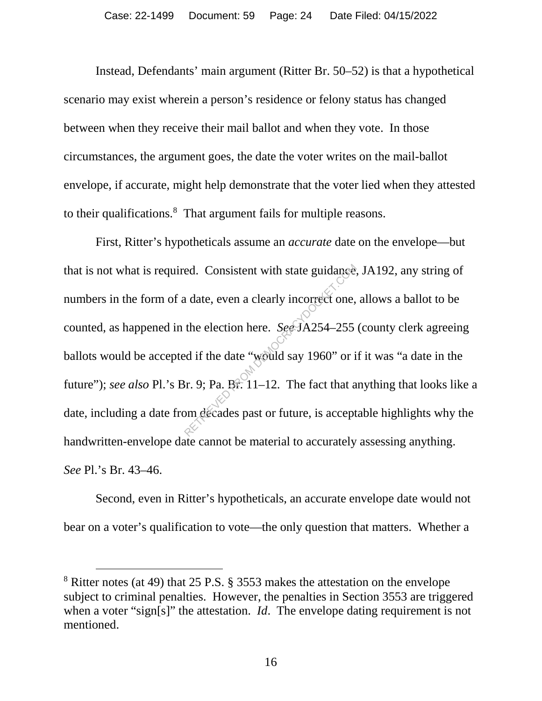Instead, Defendants' main argument (Ritter Br. 50–52) is that a hypothetical scenario may exist wherein a person's residence or felony status has changed between when they receive their mail ballot and when they vote. In those circumstances, the argument goes, the date the voter writes on the mail-ballot envelope, if accurate, might help demonstrate that the voter lied when they attested to their qualifications. 8 That argument fails for multiple reasons.

First, Ritter's hypotheticals assume an *accurate* date on the envelope—but that is not what is required. Consistent with state guidance, JA192, any string of numbers in the form of a date, even a clearly incorrect one, allows a ballot to be counted, as happened in the election here. *See* JA254–255 (county clerk agreeing ballots would be accepted if the date "would say 1960" or if it was "a date in the future"); *see also* Pl.'s Br. 9; Pa. Br. 11–12. The fact that anything that looks like a date, including a date from decades past or future, is acceptable highlights why the handwritten-envelope date cannot be material to accurately assessing anything. *See* Pl.'s Br. 43–46. ed. Consistent with state guidance.<br>
a date, even a clearly incorrect one,<br>
the election here. *See* JA254–255<br>
ed if the date "would say 1960" or i<br>  $\text{Br. 9; Pa. Br. 11–12.}$  The fact that a<br>
pm decades past or future, is a

Second, even in Ritter's hypotheticals, an accurate envelope date would not bear on a voter's qualification to vote—the only question that matters. Whether a

 <sup>8</sup> Ritter notes (at 49) that 25 P.S. § 3553 makes the attestation on the envelope subject to criminal penalties. However, the penalties in Section 3553 are triggered when a voter "sign[s]" the attestation. *Id*. The envelope dating requirement is not mentioned.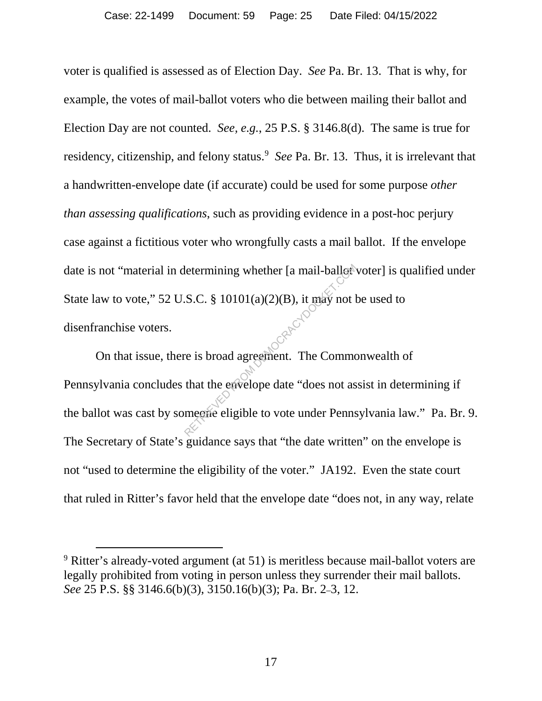voter is qualified is assessed as of Election Day. *See* Pa. Br. 13. That is why, for example, the votes of mail-ballot voters who die between mailing their ballot and Election Day are not counted. *See, e.g.*, 25 P.S. § 3146.8(d). The same is true for residency, citizenship, and felony status.<sup>9</sup> See Pa. Br. 13. Thus, it is irrelevant that a handwritten-envelope date (if accurate) could be used for some purpose *other than assessing qualifications*, such as providing evidence in a post-hoc perjury case against a fictitious voter who wrongfully casts a mail ballot. If the envelope date is not "material in determining whether [a mail-ballor voter] is qualified under State law to vote," 52 U.S.C. §  $10101(a)(2)(B)$ , it may not be used to disenfranchise voters.

On that issue, there is broad agreement. The Commonwealth of Pennsylvania concludes that the envelope date "does not assist in determining if the ballot was cast by someone eligible to vote under Pennsylvania law." Pa. Br. 9. The Secretary of State's guidance says that "the date written" on the envelope is not "used to determine the eligibility of the voter." JA192. Even the state court that ruled in Ritter's favor held that the envelope date "does not, in any way, relate letermining whether [a mail-ballot<sup>s]</sup><br>S.C. § 10101(a)(2)(B), it may not leads to the metal of the commodular that the envelope date "does not as megave eligible to vote under Penns

<sup>&</sup>lt;sup>9</sup> Ritter's already-voted argument (at 51) is meritless because mail-ballot voters are legally prohibited from voting in person unless they surrender their mail ballots. *See* 25 P.S. §§ 3146.6(b)(3), 3150.16(b)(3); Pa. Br. 2–3, 12.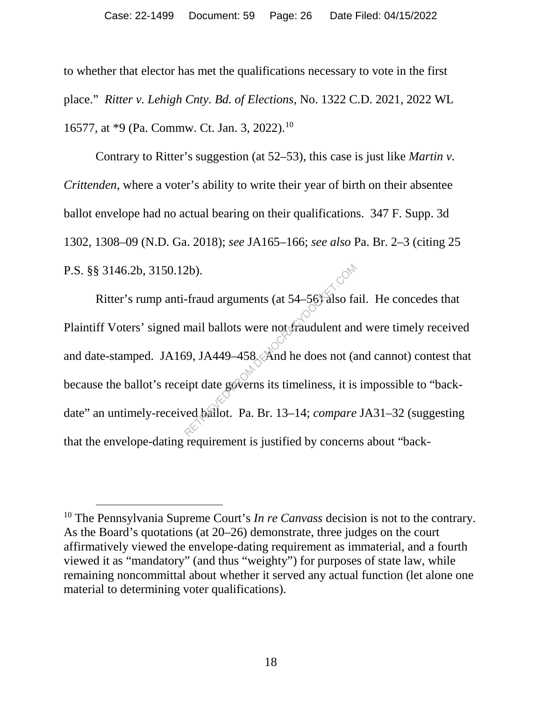to whether that elector has met the qualifications necessary to vote in the first place." *Ritter v. Lehigh Cnty. Bd. of Elections*, No. 1322 C.D. 2021, 2022 WL 16577, at \*9 (Pa. Commw. Ct. Jan. 3, 2022). 10

Contrary to Ritter's suggestion (at 52–53), this case is just like *Martin v. Crittenden*, where a voter's ability to write their year of birth on their absentee ballot envelope had no actual bearing on their qualifications. 347 F. Supp. 3d 1302, 1308–09 (N.D. Ga. 2018); *see* JA165–166; *see also* Pa. Br. 2–3 (citing 25 P.S. §§ 3146.2b, 3150.12b).

Ritter's rump anti-fraud arguments (at 54–56) also fail. He concedes that Plaintiff Voters' signed mail ballots were not fraudulent and were timely received and date-stamped. JA169, JA449–458. And he does not (and cannot) contest that because the ballot's receipt date governs its timeliness, it is impossible to "backdate" an untimely-received ballot. Pa. Br. 13–14; *compare* JA31–32 (suggesting that the envelope-dating requirement is justified by concerns about "back- 2b).<br>
Fraud arguments (at 54–56) also fa<br>
mail ballots were not fraudulent and<br>
59, JA449–458, And he does not (a<br>
eipt date governs its timeliness, it is<br>
ved ballot. Pa. Br. 13–14; compare

 <sup>10</sup> The Pennsylvania Supreme Court's *In re Canvass* decision is not to the contrary. As the Board's quotations (at 20–26) demonstrate, three judges on the court affirmatively viewed the envelope-dating requirement as immaterial, and a fourth viewed it as "mandatory" (and thus "weighty") for purposes of state law, while remaining noncommittal about whether it served any actual function (let alone one material to determining voter qualifications).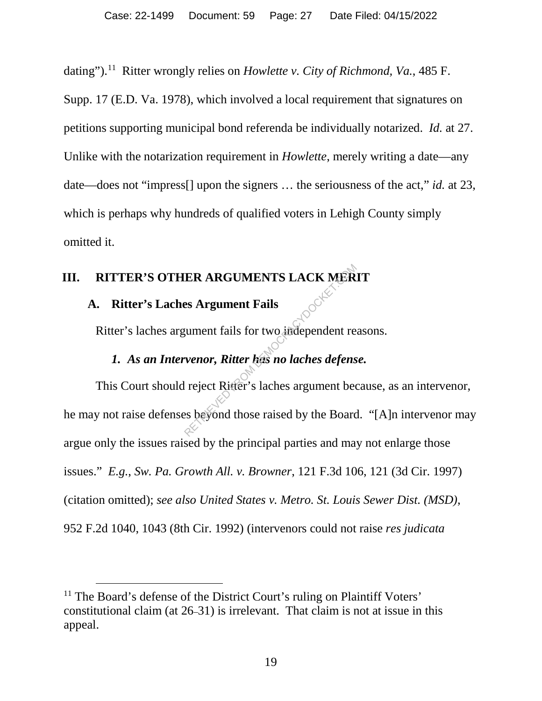dating"). 11 Ritter wrongly relies on *Howlette v. City of Richmond, Va.*, 485 F. Supp. 17 (E.D. Va. 1978), which involved a local requirement that signatures on petitions supporting municipal bond referenda be individually notarized. *Id.* at 27. Unlike with the notarization requirement in *Howlette*, merely writing a date—any date—does not "impress[] upon the signers … the seriousness of the act," *id.* at 23, which is perhaps why hundreds of qualified voters in Lehigh County simply omitted it.

## **III. RITTER'S OTHER ARGUMENTS LACK MERIT**

#### **A. Ritter's Laches Argument Fails**

Ritter's laches argument fails for two independent reasons.

## *1. As an Intervenor, Ritter has no laches defense.*

This Court should reject Ritter's laches argument because, as an intervenor, he may not raise defenses beyond those raised by the Board. "[A]n intervenor may argue only the issues raised by the principal parties and may not enlarge those issues." *E.g.*, *Sw. Pa. Growth All. v. Browner*, 121 F.3d 106, 121 (3d Cir. 1997) (citation omitted); *see also United States v. Metro. St. Louis Sewer Dist. (MSD)*, 952 F.2d 1040, 1043 (8th Cir. 1992) (intervenors could not raise *res judicata* RETRIEURIENTS LACK MER<br>
RETRIEURE EN ARCHER<br>
RETRIEURE FROM DEMOCRACY<br>
RETRIEVED TO LATE DE MORALDING DE MORALDING DE MORALDING PRISE AT PRINT DE MORALDING PRISE AND RETRIEUR DE MORALDING PORTRIEUR DE MORALDING DE MORALDIN

<sup>&</sup>lt;sup>11</sup> The Board's defense of the District Court's ruling on Plaintiff Voters' constitutional claim (at 26–31) is irrelevant. That claim is not at issue in this appeal.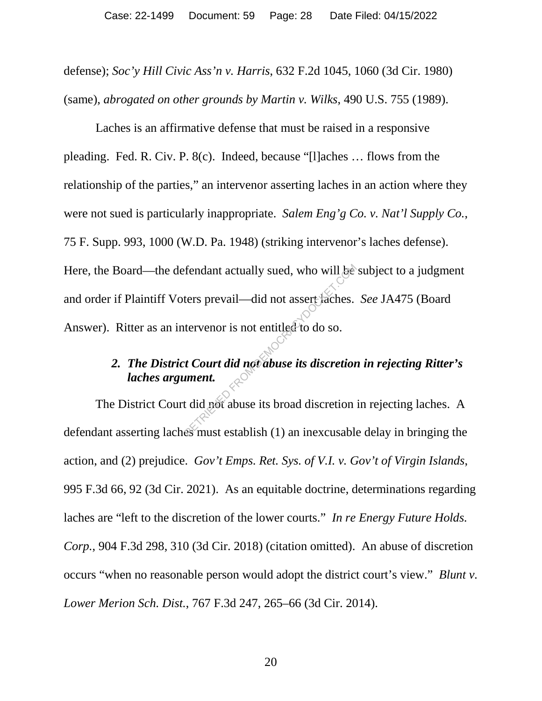defense); *Soc'y Hill Civic Ass'n v. Harris*, 632 F.2d 1045, 1060 (3d Cir. 1980) (same), *abrogated on other grounds by Martin v. Wilks*, 490 U.S. 755 (1989).

Laches is an affirmative defense that must be raised in a responsive pleading. Fed. R. Civ. P. 8(c). Indeed, because "[l]aches … flows from the relationship of the parties," an intervenor asserting laches in an action where they were not sued is particularly inappropriate. *Salem Eng'g Co. v. Nat'l Supply Co.*, 75 F. Supp. 993, 1000 (W.D. Pa. 1948) (striking intervenor's laches defense). Here, the Board—the defendant actually sued, who will be subject to a judgment and order if Plaintiff Voters prevail—did not assert laches. *See* JA475 (Board Answer). Ritter as an intervenor is not entitled to do so. Fendant actually sued, who will be<br>ters prevail—did not assert faches.<br>tervenor is not entitled to do so.<br>**t** Court did not abuse its discretion<br>ument.<br>t did not abuse its broad discretion<br>es must establish (1) an inexcusa

## *2. The District Court did not abuse its discretion in rejecting Ritter's laches argument.*

The District Court did not abuse its broad discretion in rejecting laches. A defendant asserting laches must establish (1) an inexcusable delay in bringing the action, and (2) prejudice. *Gov't Emps. Ret. Sys. of V.I. v. Gov't of Virgin Islands*, 995 F.3d 66, 92 (3d Cir. 2021). As an equitable doctrine, determinations regarding laches are "left to the discretion of the lower courts." *In re Energy Future Holds. Corp.*, 904 F.3d 298, 310 (3d Cir. 2018) (citation omitted). An abuse of discretion occurs "when no reasonable person would adopt the district court's view." *Blunt v. Lower Merion Sch. Dist.*, 767 F.3d 247, 265–66 (3d Cir. 2014).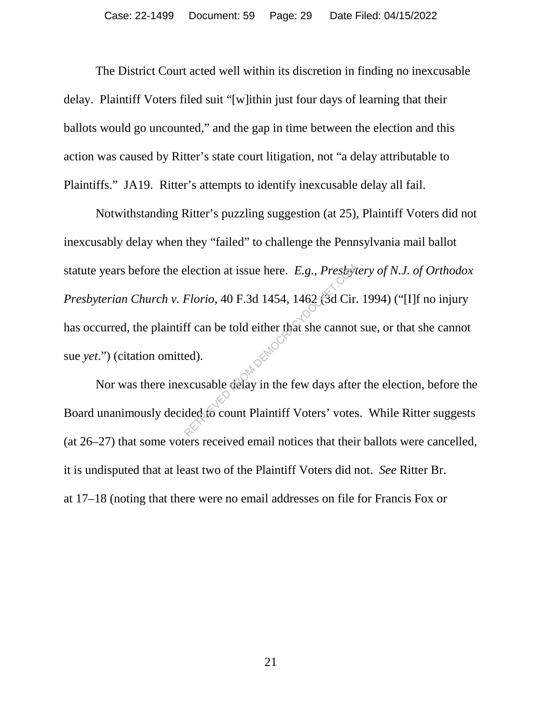The District Court acted well within its discretion in finding no inexcusable delay. Plaintiff Voters filed suit "[w]ithin just four days of learning that their ballots would go uncounted," and the gap in time between the election and this action was caused by Ritter's state court litigation, not "a delay attributable to Plaintiffs." JA19. Ritter's attempts to identify inexcusable delay all fail.

Notwithstanding Ritter's puzzling suggestion (at 25), Plaintiff Voters did not inexcusably delay when they "failed" to challenge the Pennsylvania mail ballot statute years before the election at issue here. *E.g.*, *Presbytery of N.J. of Orthodox Presbyterian Church v. Florio*, 40 F.3d 1454, 1462 (3d Cir. 1994) ("[I]f no injury has occurred, the plaintiff can be told either that she cannot sue, or that she cannot sue *yet*.") (citation omitted). Election at issue here.  $E.g., Presb$ <br>
Florio, 40 F.3d 1454, 1462, 3d Cir.<br>
ff can be told either that she cannot<br>
ed).<br>
xcusable delay in the few days afte<br>
ded: o count Plaintiff Voters' votes

Nor was there inexcusable delay in the few days after the election, before the Board unanimously decided to count Plaintiff Voters' votes. While Ritter suggests (at 26–27) that some voters received email notices that their ballots were cancelled, it is undisputed that at least two of the Plaintiff Voters did not. *See* Ritter Br. at 17–18 (noting that there were no email addresses on file for Francis Fox or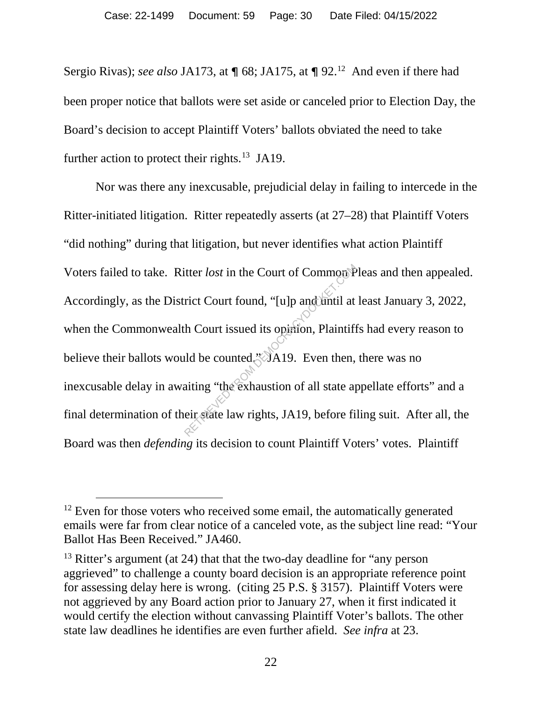Sergio Rivas); *see also* JA173, at  $\P$  68; JA175, at  $\P$  92.<sup>12</sup> And even if there had been proper notice that ballots were set aside or canceled prior to Election Day, the Board's decision to accept Plaintiff Voters' ballots obviated the need to take further action to protect their rights.<sup>13</sup> JA19.

Nor was there any inexcusable, prejudicial delay in failing to intercede in the Ritter-initiated litigation. Ritter repeatedly asserts (at 27–28) that Plaintiff Voters "did nothing" during that litigation, but never identifies what action Plaintiff Voters failed to take. Ritter *lost* in the Court of Common Pleas and then appealed. Accordingly, as the District Court found, "[u]p and until at least January 3, 2022, when the Commonwealth Court issued its opinion, Plaintiffs had every reason to believe their ballots would be counted." A19. Even then, there was no inexcusable delay in awaiting "the exhaustion of all state appellate efforts" and a final determination of their state law rights, JA19, before filing suit. After all, the Board was then *defending* its decision to count Plaintiff Voters' votes. Plaintiff itter *lost* in the Court of Common<sup>p</sup><br>rict Court found, "[u]p and until at<br>th Court issued its opinion, Plaintiff<br>ald be counted,"AA19. Even then,<br>aiting "the exhaustion of all state ap<br>eir state law rights, JA19, before

 $12$  Even for those voters who received some email, the automatically generated emails were far from clear notice of a canceled vote, as the subject line read: "Your Ballot Has Been Received." JA460.

<sup>&</sup>lt;sup>13</sup> Ritter's argument (at 24) that that the two-day deadline for "any person" aggrieved" to challenge a county board decision is an appropriate reference point for assessing delay here is wrong. (citing 25 P.S. § 3157). Plaintiff Voters were not aggrieved by any Board action prior to January 27, when it first indicated it would certify the election without canvassing Plaintiff Voter's ballots. The other state law deadlines he identifies are even further afield. *See infra* at 23.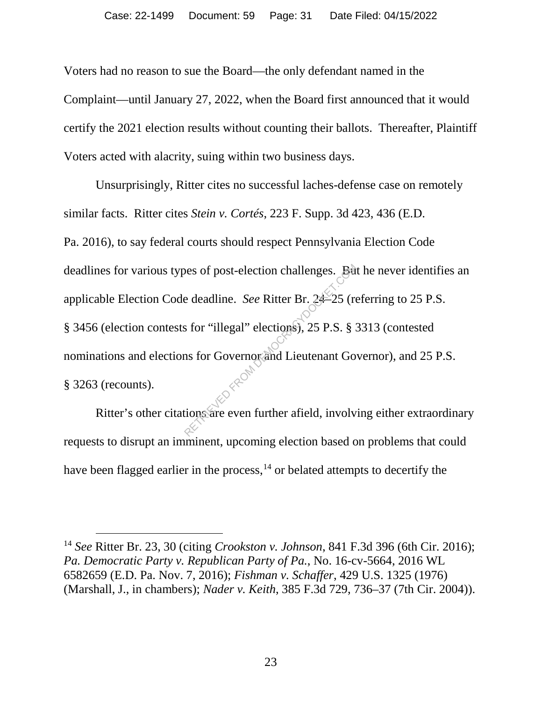Voters had no reason to sue the Board—the only defendant named in the Complaint—until January 27, 2022, when the Board first announced that it would certify the 2021 election results without counting their ballots. Thereafter, Plaintiff Voters acted with alacrity, suing within two business days.

Unsurprisingly, Ritter cites no successful laches-defense case on remotely similar facts. Ritter cites *Stein v. Cortés*, 223 F. Supp. 3d 423, 436 (E.D. Pa. 2016), to say federal courts should respect Pennsylvania Election Code deadlines for various types of post-election challenges. But he never identifies an applicable Election Code deadline. *See* Ritter Br. 24–25 (referring to 25 P.S. § 3456 (election contests for "illegal" elections), 25 P.S. § 3313 (contested nominations and elections for Governor and Lieutenant Governor), and 25 P.S. § 3263 (recounts). See Solution Contract Contract Contract Contract Contract Contract Contract Contract Contract Contract Contract Contract Composition Contract Composition Contract Composition Contract Composition Contract Contract Contract

Ritter's other citations are even further afield, involving either extraordinary requests to disrupt an imminent, upcoming election based on problems that could have been flagged earlier in the process,  $14$  or belated attempts to decertify the

 <sup>14</sup> *See* Ritter Br. 23, 30 (citing *Crookston v. Johnson*, 841 F.3d 396 (6th Cir. 2016); *Pa. Democratic Party v. Republican Party of Pa.*, No. 16-cv-5664, 2016 WL 6582659 (E.D. Pa. Nov. 7, 2016); *Fishman v. Schaffer*, 429 U.S. 1325 (1976) (Marshall, J., in chambers); *Nader v. Keith*, 385 F.3d 729, 736–37 (7th Cir. 2004)).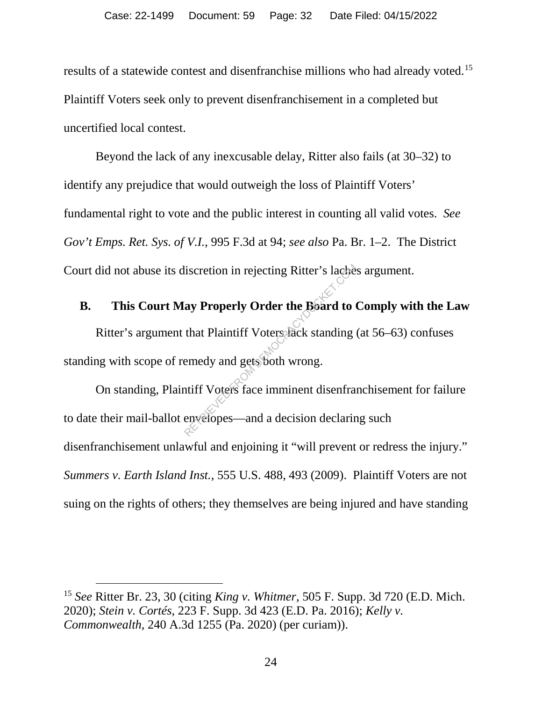results of a statewide contest and disenfranchise millions who had already voted.<sup>15</sup> Plaintiff Voters seek only to prevent disenfranchisement in a completed but uncertified local contest.

Beyond the lack of any inexcusable delay, Ritter also fails (at 30–32) to identify any prejudice that would outweigh the loss of Plaintiff Voters' fundamental right to vote and the public interest in counting all valid votes. *See Gov't Emps. Ret. Sys. of V.I.*, 995 F.3d at 94; *see also* Pa. Br. 1–2. The District Court did not abuse its discretion in rejecting Ritter's laches argument.

**B. This Court May Properly Order the Board to Comply with the Law** Ritter's argument that Plaintiff Voters lack standing (at 56–63) confuses standing with scope of remedy and gets both wrong. Suitscretion in rejecting Ritter's lacher<br>
ay Properly Order the Board to that Plaintiff Voters lack standing<br>
emedy and gets both wrong.<br>
htiff Voters face imminent disenframent envelopes—and a decision declaring

On standing, Plaintiff Voters face imminent disenfranchisement for failure to date their mail-ballot envelopes—and a decision declaring such disenfranchisement unlawful and enjoining it "will prevent or redress the injury." *Summers v. Earth Island Inst.*, 555 U.S. 488, 493 (2009). Plaintiff Voters are not suing on the rights of others; they themselves are being injured and have standing

 <sup>15</sup> *See* Ritter Br. 23, 30 (citing *King v. Whitmer*, 505 F. Supp. 3d 720 (E.D. Mich. 2020); *Stein v. Cortés*, 223 F. Supp. 3d 423 (E.D. Pa. 2016); *Kelly v. Commonwealth*, 240 A.3d 1255 (Pa. 2020) (per curiam)).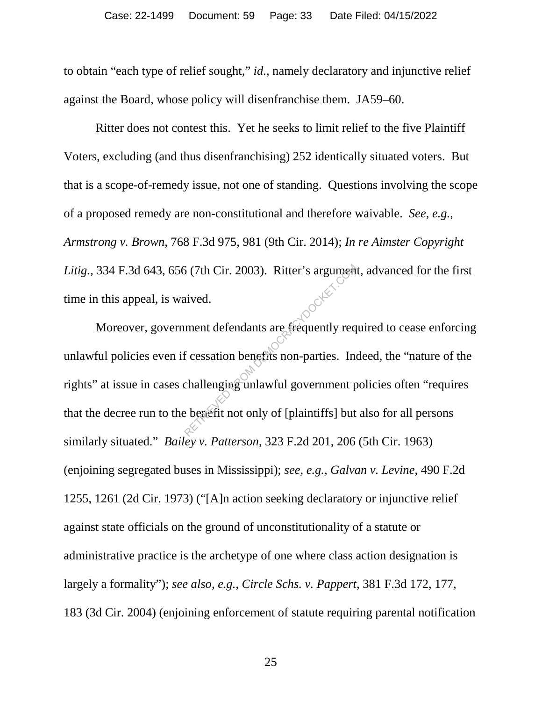to obtain "each type of relief sought," *id.*, namely declaratory and injunctive relief against the Board, whose policy will disenfranchise them. JA59–60.

Ritter does not contest this. Yet he seeks to limit relief to the five Plaintiff Voters, excluding (and thus disenfranchising) 252 identically situated voters. But that is a scope-of-remedy issue, not one of standing. Questions involving the scope of a proposed remedy are non-constitutional and therefore waivable. *See, e.g.*, *Armstrong v. Brown*, 768 F.3d 975, 981 (9th Cir. 2014); *In re Aimster Copyright Litig.*, 334 F.3d 643, 656 (7th Cir. 2003). Ritter's argument, advanced for the first time in this appeal, is waived.

Moreover, government defendants are frequently required to cease enforcing unlawful policies even if cessation benefits non-parties. Indeed, the "nature of the rights" at issue in cases challenging unlawful government policies often "requires that the decree run to the benefit not only of [plaintiffs] but also for all persons similarly situated." *Bailey v. Patterson*, 323 F.2d 201, 206 (5th Cir. 1963) (enjoining segregated buses in Mississippi); *see, e.g.*, *Galvan v. Levine*, 490 F.2d 1255, 1261 (2d Cir. 1973) ("[A]n action seeking declaratory or injunctive relief against state officials on the ground of unconstitutionality of a statute or administrative practice is the archetype of one where class action designation is largely a formality"); *see also, e.g.*, *Circle Schs. v. Pappert*, 381 F.3d 172, 177, 183 (3d Cir. 2004) (enjoining enforcement of statute requiring parental notification  $\begin{pmatrix} 5 & (7th Cir. 2003). \end{pmatrix}$  Ritter's argument<br>ived.<br>ment defendants are frequently req<br>f cessation benefits non-parties. In<br>challenging unlawful government p<br>e benefit not only of [plaintiffs] but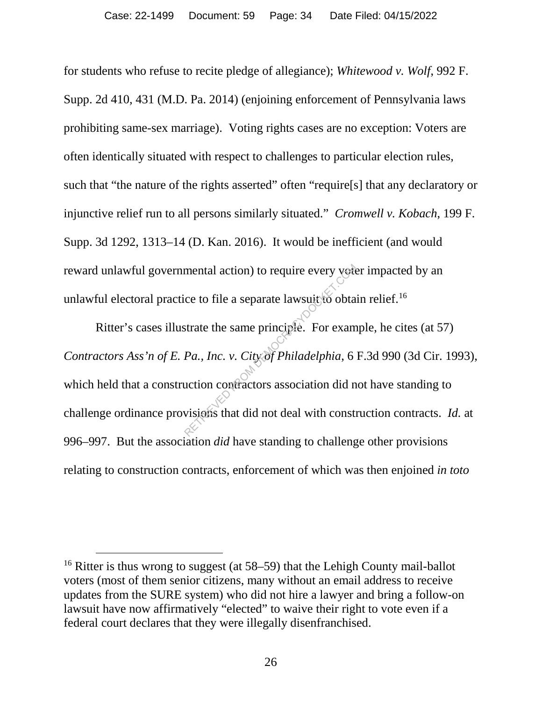for students who refuse to recite pledge of allegiance); *Whitewood v. Wolf*, 992 F. Supp. 2d 410, 431 (M.D. Pa. 2014) (enjoining enforcement of Pennsylvania laws prohibiting same-sex marriage). Voting rights cases are no exception: Voters are often identically situated with respect to challenges to particular election rules, such that "the nature of the rights asserted" often "require[s] that any declaratory or injunctive relief run to all persons similarly situated." *Cromwell v. Kobach*, 199 F. Supp. 3d 1292, 1313–14 (D. Kan. 2016). It would be inefficient (and would reward unlawful governmental action) to require every voter impacted by an unlawful electoral practice to file a separate lawsuit to obtain relief.<sup>16</sup>

Ritter's cases illustrate the same principle. For example, he cites (at 57) *Contractors Ass'n of E. Pa., Inc. v. City of Philadelphia*, 6 F.3d 990 (3d Cir. 1993), which held that a construction contractors association did not have standing to challenge ordinance provisions that did not deal with construction contracts. *Id.* at 996–997. But the association *did* have standing to challenge other provisions relating to construction contracts, enforcement of which was then enjoined *in toto*  mental action) to require every vote<br>ce to file a separate lawsuit to obta<br>strate the same principle. For exam<br>Pa., Inc. v. City of Philadelphia, 6<br>uction contractors association did n<br>visions that did not deal with constr

<sup>&</sup>lt;sup>16</sup> Ritter is thus wrong to suggest (at 58–59) that the Lehigh County mail-ballot voters (most of them senior citizens, many without an email address to receive updates from the SURE system) who did not hire a lawyer and bring a follow-on lawsuit have now affirmatively "elected" to waive their right to vote even if a federal court declares that they were illegally disenfranchised.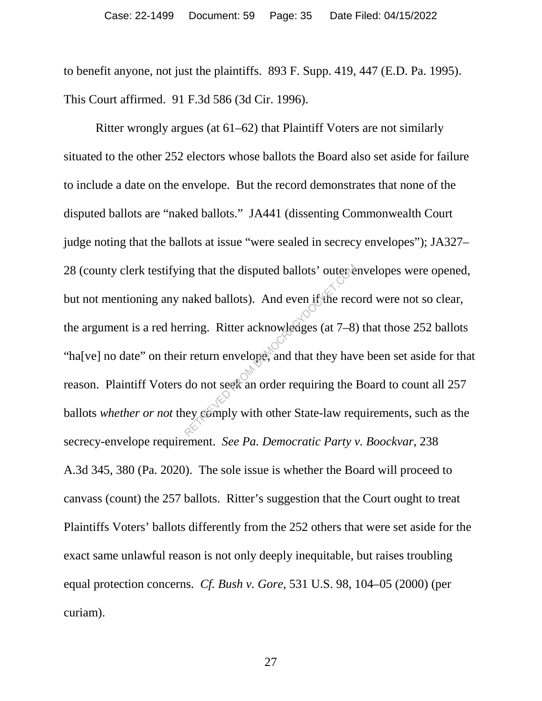to benefit anyone, not just the plaintiffs. 893 F. Supp. 419, 447 (E.D. Pa. 1995). This Court affirmed. 91 F.3d 586 (3d Cir. 1996).

Ritter wrongly argues (at 61–62) that Plaintiff Voters are not similarly situated to the other 252 electors whose ballots the Board also set aside for failure to include a date on the envelope. But the record demonstrates that none of the disputed ballots are "naked ballots." JA441 (dissenting Commonwealth Court judge noting that the ballots at issue "were sealed in secrecy envelopes"); JA327– 28 (county clerk testifying that the disputed ballots' outer envelopes were opened, but not mentioning any naked ballots). And even if the record were not so clear, the argument is a red herring. Ritter acknowledges (at 7–8) that those 252 ballots "ha[ve] no date" on their return envelope, and that they have been set aside for that reason. Plaintiff Voters do not seek an order requiring the Board to count all 257 ballots *whether or not* they comply with other State-law requirements, such as the secrecy-envelope requirement. *See Pa. Democratic Party v. Boockvar*, 238 A.3d 345, 380 (Pa. 2020). The sole issue is whether the Board will proceed to canvass (count) the 257 ballots. Ritter's suggestion that the Court ought to treat Plaintiffs Voters' ballots differently from the 252 others that were set aside for the exact same unlawful reason is not only deeply inequitable, but raises troubling equal protection concerns. *Cf. Bush v. Gore*, 531 U.S. 98, 104–05 (2000) (per curiam). maked ballots). And even if the reception<br>aked ballots). And even if the reception<br>rring. Ritter acknowledges (at 7–8)<br>r return envelope, and that they have<br>do not seek an order requiring the levelopely with other State-la

27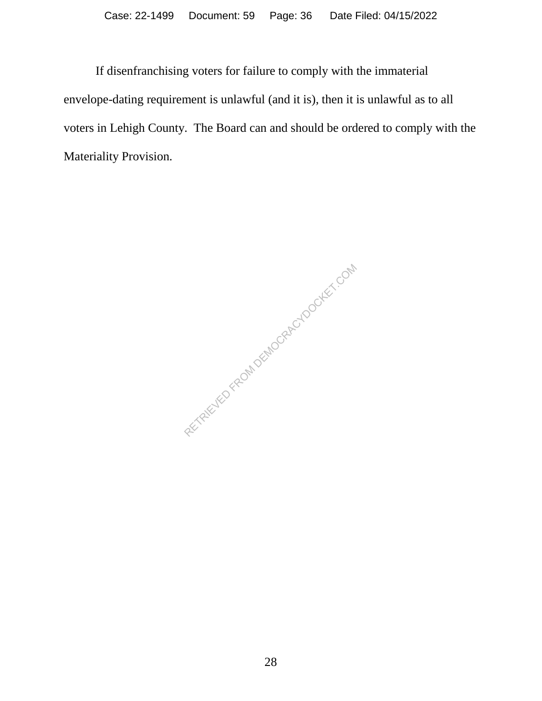If disenfranchising voters for failure to comply with the immaterial envelope-dating requirement is unlawful (and it is), then it is unlawful as to all voters in Lehigh County. The Board can and should be ordered to comply with the Materiality Provision.

RETRIEVED FROM DEMOCRACYDOCKET.COM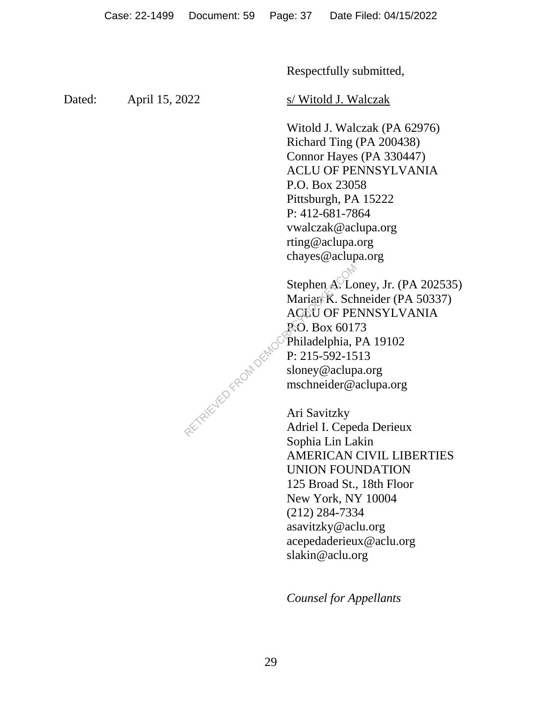Respectfully submitted,

Dated: April 15, 2022 s/ Witold J. Walczak

Witold J. Walczak (PA 62976) Richard Ting (PA 200438) Connor Hayes (PA 330447) ACLU OF PENNSYLVANIA P.O. Box 23058 Pittsburgh, PA 15222 P: 412-681-7864 vwalczak@aclupa.org rting@aclupa.org chayes@aclupa.org

Stephen A. Loney, Jr. (PA 202535) Marian K. Schneider (PA 50337) ACLU OF PENNSYLVANIA P.O. Box 60173 Philadelphia, PA 19102 P: 215-592-1513 sloney@aclupa.org mschneider@aclupa.org

Ari Savitzky Adriel I. Cepeda Derieux Sophia Lin Lakin AMERICAN CIVIL LIBERTIES UNION FOUNDATION 125 Broad St., 18th Floor New York, NY 10004 (212) 284-7334 asavitzky@aclu.org acepedaderieux@aclu.org slakin@aclu.org

*Counsel for Appellants*

RETRIEVED FROM DEMOC